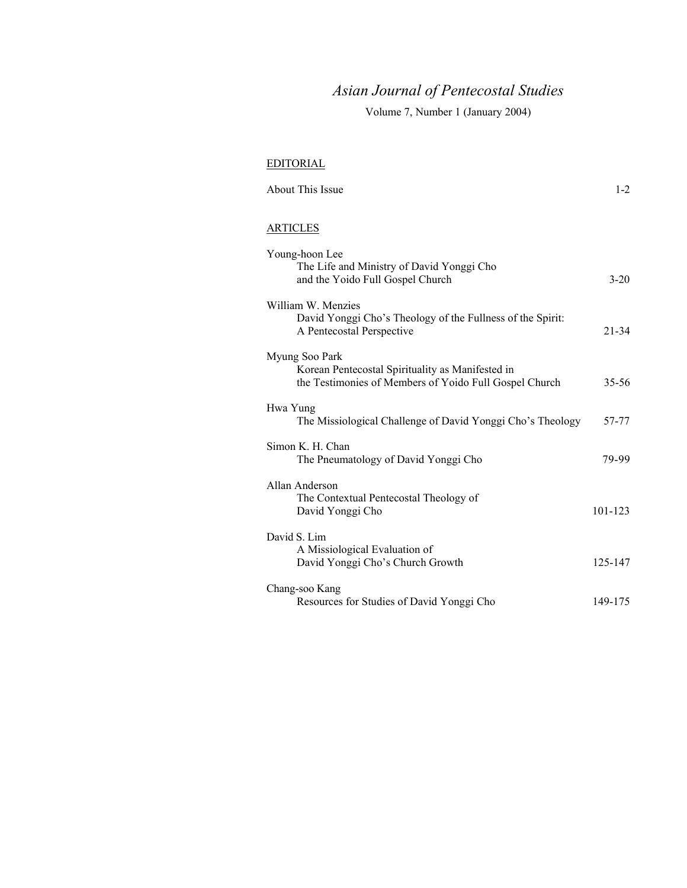# *Asian Journal of Pentecostal Studies*

Volume 7, Number 1 (January 2004)

### EDITORIAL

| <b>About This Issue</b>                                                                                                      | $1-2$     |
|------------------------------------------------------------------------------------------------------------------------------|-----------|
| <b>ARTICLES</b>                                                                                                              |           |
| Young-hoon Lee<br>The Life and Ministry of David Yonggi Cho<br>and the Yoido Full Gospel Church                              | $3 - 20$  |
| William W. Menzies<br>David Yonggi Cho's Theology of the Fullness of the Spirit:<br>A Pentecostal Perspective                | $21 - 34$ |
| Myung Soo Park<br>Korean Pentecostal Spirituality as Manifested in<br>the Testimonies of Members of Yoido Full Gospel Church | $35 - 56$ |
| Hwa Yung<br>The Missiological Challenge of David Yonggi Cho's Theology                                                       | 57-77     |
| Simon K. H. Chan<br>The Pneumatology of David Yonggi Cho                                                                     | 79-99     |
| Allan Anderson<br>The Contextual Pentecostal Theology of<br>David Yonggi Cho                                                 | 101-123   |
| David S. Lim<br>A Missiological Evaluation of<br>David Yonggi Cho's Church Growth                                            | 125-147   |
| Chang-soo Kang<br>Resources for Studies of David Yonggi Cho                                                                  | 149-175   |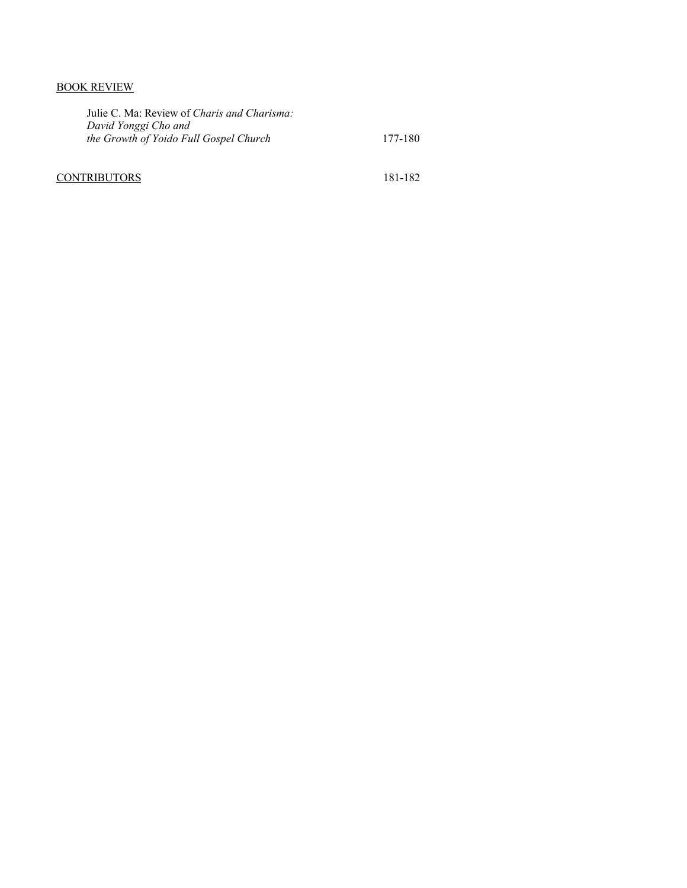## BOOK REVIEW

| Julie C. Ma: Review of <i>Charis and Charisma</i> :<br>David Yonggi Cho and |         |
|-----------------------------------------------------------------------------|---------|
| the Growth of Yoido Full Gospel Church                                      | 177-180 |
|                                                                             |         |

# CONTRIBUTORS 181-182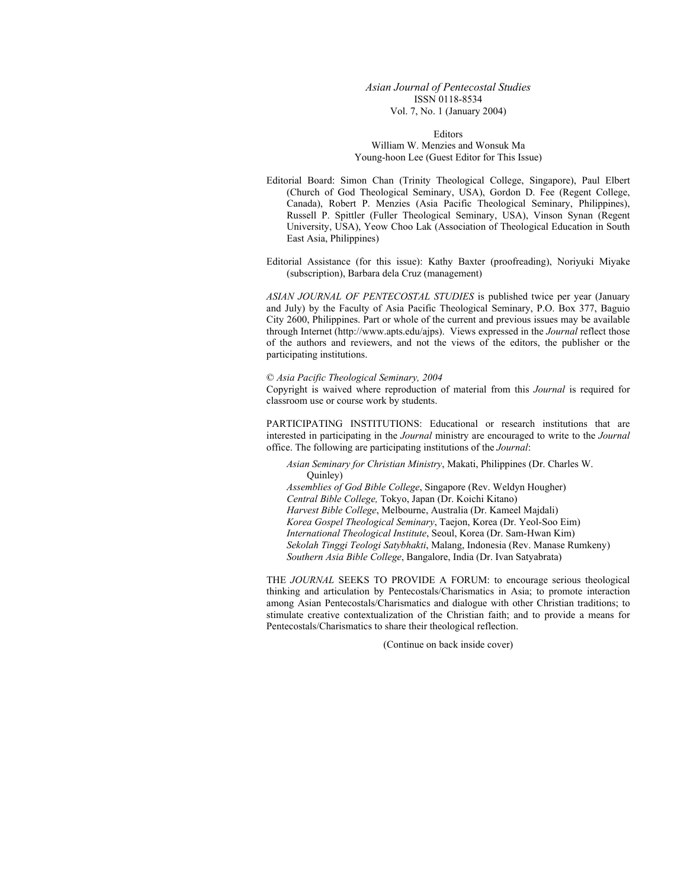*Asian Journal of Pentecostal Studies*  ISSN 0118-8534 Vol. 7, No. 1 (January 2004)

Editors William W. Menzies and Wonsuk Ma Young-hoon Lee (Guest Editor for This Issue)

- Editorial Board: Simon Chan (Trinity Theological College, Singapore), Paul Elbert (Church of God Theological Seminary, USA), Gordon D. Fee (Regent College, Canada), Robert P. Menzies (Asia Pacific Theological Seminary, Philippines), Russell P. Spittler (Fuller Theological Seminary, USA), Vinson Synan (Regent University, USA), Yeow Choo Lak (Association of Theological Education in South East Asia, Philippines)
- Editorial Assistance (for this issue): Kathy Baxter (proofreading), Noriyuki Miyake (subscription), Barbara dela Cruz (management)

*ASIAN JOURNAL OF PENTECOSTAL STUDIES* is published twice per year (January and July) by the Faculty of Asia Pacific Theological Seminary, P.O. Box 377, Baguio City 2600, Philippines. Part or whole of the current and previous issues may be available through Internet (http://www.apts.edu/ajps). Views expressed in the *Journal* reflect those of the authors and reviewers, and not the views of the editors, the publisher or the participating institutions.

#### © *Asia Pacific Theological Seminary, 2004*

Copyright is waived where reproduction of material from this *Journal* is required for classroom use or course work by students.

PARTICIPATING INSTITUTIONS: Educational or research institutions that are interested in participating in the *Journal* ministry are encouraged to write to the *Journal* office. The following are participating institutions of the *Journal*:

*Asian Seminary for Christian Ministry*, Makati, Philippines (Dr. Charles W. Quinley)

*Assemblies of God Bible College*, Singapore (Rev. Weldyn Hougher) *Central Bible College,* Tokyo, Japan (Dr. Koichi Kitano) *Harvest Bible College*, Melbourne, Australia (Dr. Kameel Majdali) *Korea Gospel Theological Seminary*, Taejon, Korea (Dr. Yeol-Soo Eim) *International Theological Institute*, Seoul, Korea (Dr. Sam-Hwan Kim) *Sekolah Tinggi Teologi Satybhakti*, Malang, Indonesia (Rev. Manase Rumkeny) *Southern Asia Bible College*, Bangalore, India (Dr. Ivan Satyabrata)

THE *JOURNAL* SEEKS TO PROVIDE A FORUM: to encourage serious theological thinking and articulation by Pentecostals/Charismatics in Asia; to promote interaction among Asian Pentecostals/Charismatics and dialogue with other Christian traditions; to stimulate creative contextualization of the Christian faith; and to provide a means for Pentecostals/Charismatics to share their theological reflection.

(Continue on back inside cover)